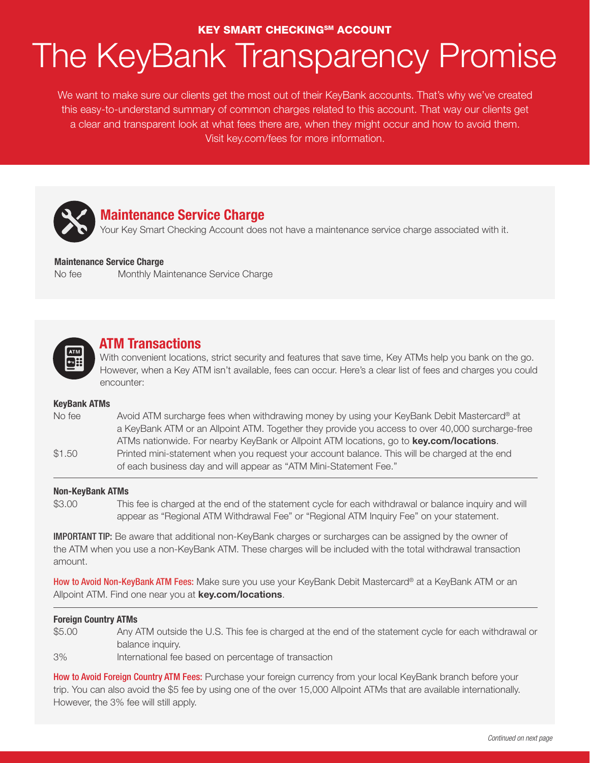#### **KEY SMART CHECKINGSM ACCOUNT**

# The KeyBank Transparency Promise

We want to make sure our clients get the most out of their KeyBank accounts. That's why we've created this easy-to-understand summary of common charges related to this account. That way our clients get a clear and transparent look at what fees there are, when they might occur and how to avoid them. Visit key.com/fees for more information.



## **Maintenance Service Charge**

Your Key Smart Checking Account does not have a maintenance service charge associated with it.

#### **Maintenance Service Charge**

No fee Monthly Maintenance Service Charge



### **ATM Transactions**

With convenient locations, strict security and features that save time, Key ATMs help you bank on the go. However, when a Key ATM isn't available, fees can occur. Here's a clear list of fees and charges you could encounter:

#### **KeyBank ATMs**

| No fee | Avoid ATM surcharge fees when withdrawing money by using your KeyBank Debit Mastercard® at       |
|--------|--------------------------------------------------------------------------------------------------|
|        | a KeyBank ATM or an Allpoint ATM. Together they provide you access to over 40,000 surcharge-free |
|        | ATMs nationwide. For nearby KeyBank or Allpoint ATM locations, go to key.com/locations.          |
| \$1.50 | Printed mini-statement when you request your account balance. This will be charged at the end    |
|        | of each business day and will appear as "ATM Mini-Statement Fee."                                |

#### **Non-KeyBank ATMs**

\$3.00 This fee is charged at the end of the statement cycle for each withdrawal or balance inquiry and will appear as "Regional ATM Withdrawal Fee" or "Regional ATM Inquiry Fee" on your statement.

IMPORTANT TIP: Be aware that additional non-KeyBank charges or surcharges can be assigned by the owner of the ATM when you use a non-KeyBank ATM. These charges will be included with the total withdrawal transaction amount.

How to Avoid Non-KeyBank ATM Fees: Make sure you use your KeyBank Debit Mastercard® at a KeyBank ATM or an Allpoint ATM. Find one near you at **key.com/locations**.

#### **Foreign Country ATMs**

\$5.00 Any ATM outside the U.S. This fee is charged at the end of the statement cycle for each withdrawal or balance inquiry.

3% International fee based on percentage of transaction

How to Avoid Foreign Country ATM Fees: Purchase your foreign currency from your local KeyBank branch before your trip. You can also avoid the \$5 fee by using one of the over 15,000 Allpoint ATMs that are available internationally. However, the 3% fee will still apply.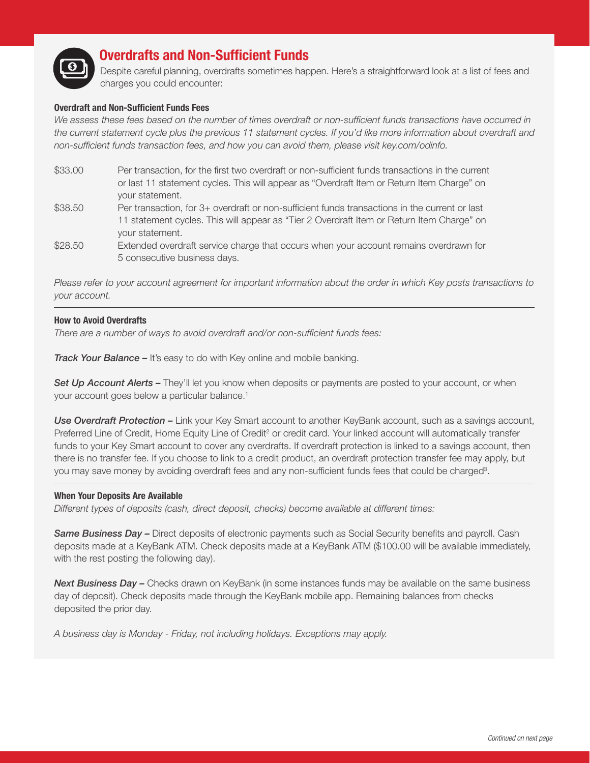

## **Overdrafts and Non-Sufficient Funds**

Despite careful planning, overdrafts sometimes happen. Here's a straightforward look at a list of fees and charges you could encounter:

#### **Overdraft and Non-Sufficient Funds Fees**

We assess these fees based on the number of times overdraft or non-sufficient funds transactions have occurred in *the current statement cycle plus the previous 11 statement cycles. If you'd like more information about overdraft and non-sufficient funds transaction fees, and how you can avoid them, please visit key.com/odinfo.*

- \$33.00 Per transaction, for the first two overdraft or non-sufficient funds transactions in the current or last 11 statement cycles. This will appear as "Overdraft Item or Return Item Charge" on your statement.
- \$38.50 Per transaction, for 3+ overdraft or non-sufficient funds transactions in the current or last 11 statement cycles. This will appear as "Tier 2 Overdraft Item or Return Item Charge" on your statement.
- \$28.50 Extended overdraft service charge that occurs when your account remains overdrawn for 5 consecutive business days.

*Please refer to your account agreement for important information about the order in which Key posts transactions to your account.*

#### **How to Avoid Overdrafts**

*There are a number of ways to avoid overdraft and/or non-sufficient funds fees:*

*Track Your Balance –* It's easy to do with Key online and mobile banking.

**Set Up Account Alerts –** They'll let you know when deposits or payments are posted to your account, or when your account goes below a particular balance.<sup>1</sup>

*Use Overdraft Protection –* Link your Key Smart account to another KeyBank account, such as a savings account, Preferred Line of Credit, Home Equity Line of Credit<sup>2</sup> or credit card. Your linked account will automatically transfer funds to your Key Smart account to cover any overdrafts. If overdraft protection is linked to a savings account, then there is no transfer fee. If you choose to link to a credit product, an overdraft protection transfer fee may apply, but you may save money by avoiding overdraft fees and any non-sufficient funds fees that could be charged<sup>3</sup>.

#### **When Your Deposits Are Available**

*Different types of deposits (cash, direct deposit, checks) become available at different times:*

*Same Business Day –* Direct deposits of electronic payments such as Social Security benefits and payroll. Cash deposits made at a KeyBank ATM. Check deposits made at a KeyBank ATM (\$100.00 will be available immediately, with the rest posting the following day).

**Next Business Day –** Checks drawn on KeyBank (in some instances funds may be available on the same business day of deposit). Check deposits made through the KeyBank mobile app. Remaining balances from checks deposited the prior day.

*A business day is Monday - Friday, not including holidays. Exceptions may apply.*